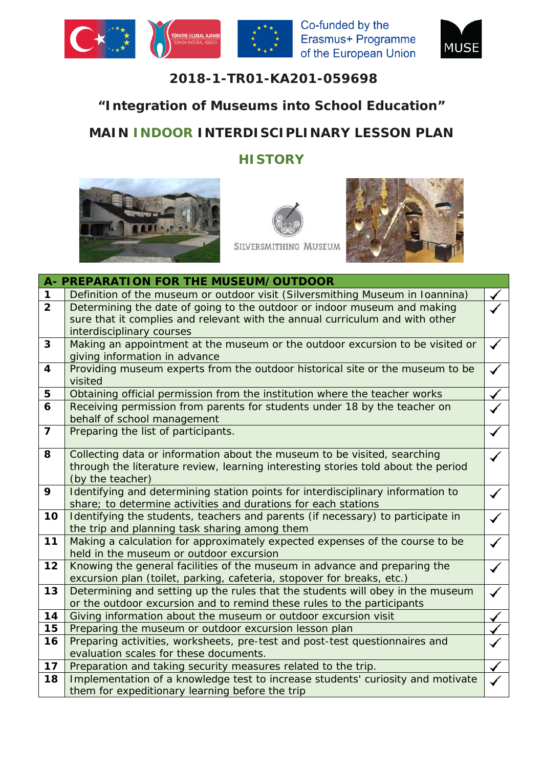





## **2018-1-TR01-KA201-059698**

## **"Integration of Museums into School Education"**

## **MAIN INDOOR INTERDISCIPLINARY LESSON PLAN**

## **HISTORY**







SILVERSMITHING MUSEUM

|                         | A- PREPARATION FOR THE MUSEUM/OUTDOOR                                                                                                                    |  |  |  |  |  |
|-------------------------|----------------------------------------------------------------------------------------------------------------------------------------------------------|--|--|--|--|--|
| 1                       | Definition of the museum or outdoor visit (Silversmithing Museum in Ioannina)                                                                            |  |  |  |  |  |
| 2 <sup>1</sup>          | Determining the date of going to the outdoor or indoor museum and making                                                                                 |  |  |  |  |  |
|                         | sure that it complies and relevant with the annual curriculum and with other                                                                             |  |  |  |  |  |
|                         | interdisciplinary courses                                                                                                                                |  |  |  |  |  |
| 3                       | Making an appointment at the museum or the outdoor excursion to be visited or                                                                            |  |  |  |  |  |
|                         | giving information in advance                                                                                                                            |  |  |  |  |  |
| $\overline{\mathbf{4}}$ | Providing museum experts from the outdoor historical site or the museum to be                                                                            |  |  |  |  |  |
|                         | visited                                                                                                                                                  |  |  |  |  |  |
| 5                       | Obtaining official permission from the institution where the teacher works                                                                               |  |  |  |  |  |
| 6                       | Receiving permission from parents for students under 18 by the teacher on                                                                                |  |  |  |  |  |
|                         | behalf of school management                                                                                                                              |  |  |  |  |  |
| $\overline{7}$          | Preparing the list of participants.                                                                                                                      |  |  |  |  |  |
|                         |                                                                                                                                                          |  |  |  |  |  |
| 8                       | Collecting data or information about the museum to be visited, searching                                                                                 |  |  |  |  |  |
|                         | through the literature review, learning interesting stories told about the period                                                                        |  |  |  |  |  |
|                         | (by the teacher)                                                                                                                                         |  |  |  |  |  |
| 9                       | Identifying and determining station points for interdisciplinary information to                                                                          |  |  |  |  |  |
|                         | share; to determine activities and durations for each stations                                                                                           |  |  |  |  |  |
| 10                      | Identifying the students, teachers and parents (if necessary) to participate in                                                                          |  |  |  |  |  |
|                         | the trip and planning task sharing among them                                                                                                            |  |  |  |  |  |
| 11                      | Making a calculation for approximately expected expenses of the course to be                                                                             |  |  |  |  |  |
|                         | held in the museum or outdoor excursion                                                                                                                  |  |  |  |  |  |
| 12                      | Knowing the general facilities of the museum in advance and preparing the                                                                                |  |  |  |  |  |
| 13                      | excursion plan (toilet, parking, cafeteria, stopover for breaks, etc.)<br>Determining and setting up the rules that the students will obey in the museum |  |  |  |  |  |
|                         | or the outdoor excursion and to remind these rules to the participants                                                                                   |  |  |  |  |  |
| 14                      | Giving information about the museum or outdoor excursion visit                                                                                           |  |  |  |  |  |
| 15                      | Preparing the museum or outdoor excursion lesson plan                                                                                                    |  |  |  |  |  |
| 16                      | Preparing activities, worksheets, pre-test and post-test questionnaires and                                                                              |  |  |  |  |  |
|                         | evaluation scales for these documents.                                                                                                                   |  |  |  |  |  |
| 17                      |                                                                                                                                                          |  |  |  |  |  |
| 18                      | Preparation and taking security measures related to the trip.<br>Implementation of a knowledge test to increase students' curiosity and motivate         |  |  |  |  |  |
|                         | them for expeditionary learning before the trip                                                                                                          |  |  |  |  |  |
|                         |                                                                                                                                                          |  |  |  |  |  |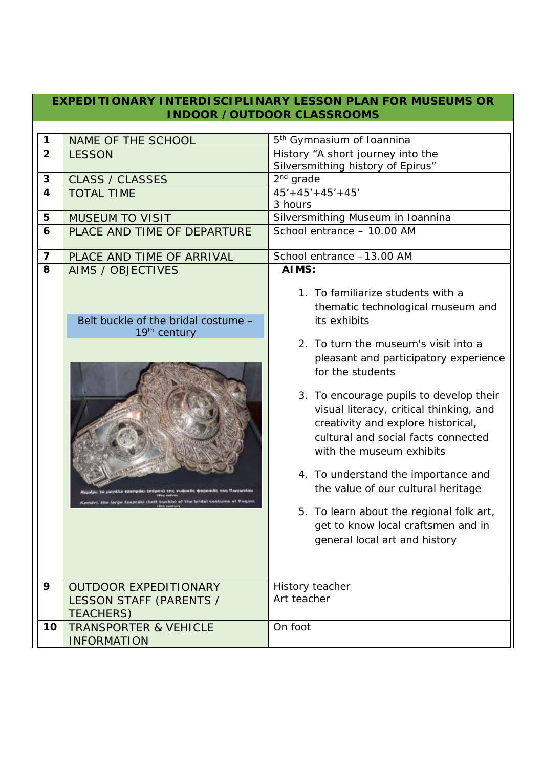|                         | EXPEDITIONARY INTERDISCIPLINARY LESSON PLAN FOR MUSEUMS OR<br><b>INDOOR / OUTDOOR CLASSROOMS</b>                                                                     |                                                                                                                                                                                                                                                                                                                                                                                                                                                                                                                                                                                                               |  |  |  |
|-------------------------|----------------------------------------------------------------------------------------------------------------------------------------------------------------------|---------------------------------------------------------------------------------------------------------------------------------------------------------------------------------------------------------------------------------------------------------------------------------------------------------------------------------------------------------------------------------------------------------------------------------------------------------------------------------------------------------------------------------------------------------------------------------------------------------------|--|--|--|
|                         |                                                                                                                                                                      |                                                                                                                                                                                                                                                                                                                                                                                                                                                                                                                                                                                                               |  |  |  |
| 1                       | NAME OF THE SCHOOL                                                                                                                                                   | 5 <sup>th</sup> Gymnasium of Ioannina                                                                                                                                                                                                                                                                                                                                                                                                                                                                                                                                                                         |  |  |  |
| $\overline{2}$          | <b>LESSON</b>                                                                                                                                                        | History "A short journey into the                                                                                                                                                                                                                                                                                                                                                                                                                                                                                                                                                                             |  |  |  |
|                         |                                                                                                                                                                      | Silversmithing history of Epirus"                                                                                                                                                                                                                                                                                                                                                                                                                                                                                                                                                                             |  |  |  |
| 3                       | <b>CLASS / CLASSES</b>                                                                                                                                               | $2nd$ grade                                                                                                                                                                                                                                                                                                                                                                                                                                                                                                                                                                                                   |  |  |  |
| $\overline{\mathbf{4}}$ | <b>TOTAL TIME</b>                                                                                                                                                    | $45' + 45' + 45' + 45'$                                                                                                                                                                                                                                                                                                                                                                                                                                                                                                                                                                                       |  |  |  |
|                         |                                                                                                                                                                      | 3 hours                                                                                                                                                                                                                                                                                                                                                                                                                                                                                                                                                                                                       |  |  |  |
| 5                       | <b>MUSEUM TO VISIT</b>                                                                                                                                               | Silversmithing Museum in Ioannina                                                                                                                                                                                                                                                                                                                                                                                                                                                                                                                                                                             |  |  |  |
| 6                       | PLACE AND TIME OF DEPARTURE                                                                                                                                          | School entrance - 10.00 AM                                                                                                                                                                                                                                                                                                                                                                                                                                                                                                                                                                                    |  |  |  |
| $\overline{\mathbf{z}}$ | PLACE AND TIME OF ARRIVAL                                                                                                                                            | School entrance -13.00 AM                                                                                                                                                                                                                                                                                                                                                                                                                                                                                                                                                                                     |  |  |  |
| 8                       | <b>AIMS / OBJECTIVES</b>                                                                                                                                             | AIMS:                                                                                                                                                                                                                                                                                                                                                                                                                                                                                                                                                                                                         |  |  |  |
| 9                       | Belt buckle of the bridal costume -<br>19 <sup>th</sup> century<br>Comers, the large tsapraki (helt buckle) of the bridal costume of<br><b>OUTDOOR EXPEDITIONARY</b> | 1. To familiarize students with a<br>thematic technological museum and<br>its exhibits<br>2. To turn the museum's visit into a<br>pleasant and participatory experience<br>for the students<br>3. To encourage pupils to develop their<br>visual literacy, critical thinking, and<br>creativity and explore historical,<br>cultural and social facts connected<br>with the museum exhibits<br>4. To understand the importance and<br>the value of our cultural heritage<br>5. To learn about the regional folk art,<br>get to know local craftsmen and in<br>general local art and history<br>History teacher |  |  |  |
|                         | LESSON STAFF (PARENTS /                                                                                                                                              | Art teacher                                                                                                                                                                                                                                                                                                                                                                                                                                                                                                                                                                                                   |  |  |  |
|                         | <b>TEACHERS)</b>                                                                                                                                                     |                                                                                                                                                                                                                                                                                                                                                                                                                                                                                                                                                                                                               |  |  |  |
| 10                      | <b>TRANSPORTER &amp; VEHICLE</b>                                                                                                                                     | On foot                                                                                                                                                                                                                                                                                                                                                                                                                                                                                                                                                                                                       |  |  |  |
|                         | <b>INFORMATION</b>                                                                                                                                                   |                                                                                                                                                                                                                                                                                                                                                                                                                                                                                                                                                                                                               |  |  |  |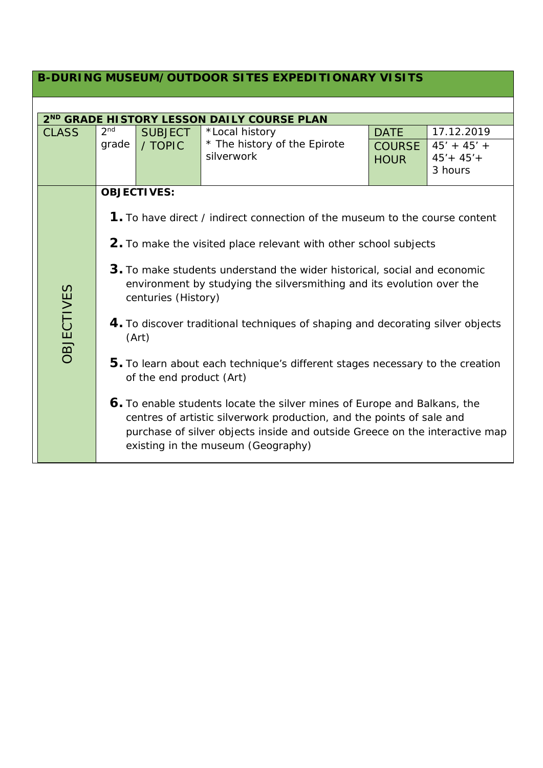| <b>B-DURING MUSEUM/OUTDOOR SITES EXPEDITIONARY VISITS</b> |                                                        |                                                                                                                                                                                                                                                                        |                                            |                              |                                           |  |  |
|-----------------------------------------------------------|--------------------------------------------------------|------------------------------------------------------------------------------------------------------------------------------------------------------------------------------------------------------------------------------------------------------------------------|--------------------------------------------|------------------------------|-------------------------------------------|--|--|
|                                                           |                                                        |                                                                                                                                                                                                                                                                        |                                            |                              |                                           |  |  |
|                                                           | 2 <sup>ND</sup> GRADE HISTORY LESSON DAILY COURSE PLAN |                                                                                                                                                                                                                                                                        |                                            |                              |                                           |  |  |
| <b>CLASS</b>                                              | 2 <sub>nd</sub>                                        | <b>SUBJECT</b>                                                                                                                                                                                                                                                         | *Local history                             | <b>DATE</b>                  | 17.12.2019                                |  |  |
|                                                           | grade                                                  | / TOPIC                                                                                                                                                                                                                                                                | * The history of the Epirote<br>silverwork | <b>COURSE</b><br><b>HOUR</b> | $45' + 45' +$<br>$45' + 45' +$<br>3 hours |  |  |
|                                                           |                                                        | <b>OBJECTIVES:</b>                                                                                                                                                                                                                                                     |                                            |                              |                                           |  |  |
|                                                           |                                                        | <b>1.</b> To have direct / indirect connection of the museum to the course content                                                                                                                                                                                     |                                            |                              |                                           |  |  |
|                                                           |                                                        | 2. To make the visited place relevant with other school subjects                                                                                                                                                                                                       |                                            |                              |                                           |  |  |
|                                                           |                                                        | 3. To make students understand the wider historical, social and economic<br>environment by studying the silversmithing and its evolution over the<br>centuries (History)                                                                                               |                                            |                              |                                           |  |  |
| <b>OBJECTIVES</b>                                         |                                                        | 4. To discover traditional techniques of shaping and decorating silver objects<br>(Art)                                                                                                                                                                                |                                            |                              |                                           |  |  |
|                                                           |                                                        | 5. To learn about each technique's different stages necessary to the creation<br>of the end product (Art)                                                                                                                                                              |                                            |                              |                                           |  |  |
|                                                           |                                                        | 6. To enable students locate the silver mines of Europe and Balkans, the<br>centres of artistic silverwork production, and the points of sale and<br>purchase of silver objects inside and outside Greece on the interactive map<br>existing in the museum (Geography) |                                            |                              |                                           |  |  |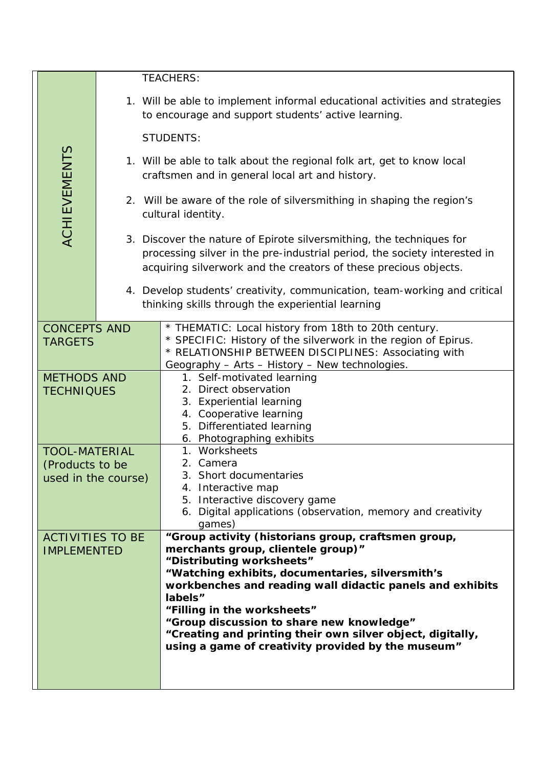|                                                                                                           |                                       |                                                                                                                                                                                                                       | <b>TEACHERS:</b>                                                                                                                                                                                                                                                                                                                                                                                                                                   |  |  |  |  |
|-----------------------------------------------------------------------------------------------------------|---------------------------------------|-----------------------------------------------------------------------------------------------------------------------------------------------------------------------------------------------------------------------|----------------------------------------------------------------------------------------------------------------------------------------------------------------------------------------------------------------------------------------------------------------------------------------------------------------------------------------------------------------------------------------------------------------------------------------------------|--|--|--|--|
|                                                                                                           |                                       | 1. Will be able to implement informal educational activities and strategies<br>to encourage and support students' active learning.                                                                                    |                                                                                                                                                                                                                                                                                                                                                                                                                                                    |  |  |  |  |
|                                                                                                           |                                       | <b>STUDENTS:</b>                                                                                                                                                                                                      |                                                                                                                                                                                                                                                                                                                                                                                                                                                    |  |  |  |  |
|                                                                                                           | <b>ACHIEVEMENTS</b>                   |                                                                                                                                                                                                                       | 1. Will be able to talk about the regional folk art, get to know local<br>craftsmen and in general local art and history.                                                                                                                                                                                                                                                                                                                          |  |  |  |  |
|                                                                                                           |                                       |                                                                                                                                                                                                                       | 2. Will be aware of the role of silversmithing in shaping the region's<br>cultural identity.                                                                                                                                                                                                                                                                                                                                                       |  |  |  |  |
|                                                                                                           |                                       | 3. Discover the nature of Epirote silversmithing, the techniques for<br>processing silver in the pre-industrial period, the society interested in<br>acquiring silverwork and the creators of these precious objects. |                                                                                                                                                                                                                                                                                                                                                                                                                                                    |  |  |  |  |
|                                                                                                           |                                       | 4. Develop students' creativity, communication, team-working and critical<br>thinking skills through the experiential learning                                                                                        |                                                                                                                                                                                                                                                                                                                                                                                                                                                    |  |  |  |  |
|                                                                                                           | <b>CONCEPTS AND</b><br><b>TARGETS</b> |                                                                                                                                                                                                                       | * THEMATIC: Local history from 18th to 20th century.<br>* SPECIFIC: History of the silverwork in the region of Epirus.<br>* RELATIONSHIP BETWEEN DISCIPLINES: Associating with<br>Geography - Arts - History - New technologies.                                                                                                                                                                                                                   |  |  |  |  |
| <b>METHODS AND</b><br><b>TECHNIQUES</b><br><b>TOOL-MATERIAL</b><br>(Products to be<br>used in the course) |                                       |                                                                                                                                                                                                                       | 1. Self-motivated learning<br>2. Direct observation<br>3. Experiential learning<br>4. Cooperative learning<br>5. Differentiated learning<br>6. Photographing exhibits                                                                                                                                                                                                                                                                              |  |  |  |  |
|                                                                                                           |                                       |                                                                                                                                                                                                                       | 1. Worksheets<br>2. Camera<br>3. Short documentaries<br>4. Interactive map<br>5. Interactive discovery game<br>6. Digital applications (observation, memory and creativity<br>games)                                                                                                                                                                                                                                                               |  |  |  |  |
| <b>ACTIVITIES TO BE</b><br><b>IMPLEMENTED</b>                                                             |                                       |                                                                                                                                                                                                                       | "Group activity (historians group, craftsmen group,<br>merchants group, clientele group)"<br>"Distributing worksheets"<br>"Watching exhibits, documentaries, silversmith's<br>workbenches and reading wall didactic panels and exhibits<br>labels"<br>"Filling in the worksheets"<br>"Group discussion to share new knowledge"<br>"Creating and printing their own silver object, digitally,<br>using a game of creativity provided by the museum" |  |  |  |  |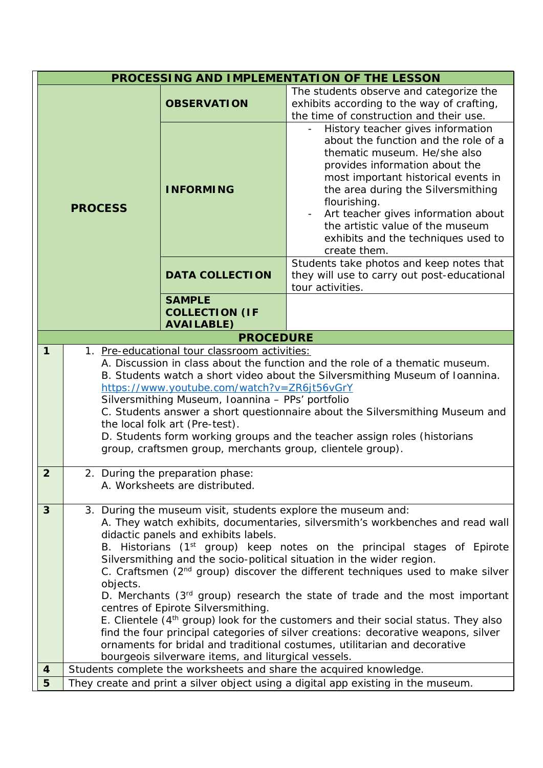| PROCESSING AND IMPLEMENTATION OF THE LESSON |                                                                                                                                                                                                                                                                                                                                                                                                                                                                                                                                                                                                                                                                                                                                                                                                                                                                                                                               |                                                             |                                                                                                                                                                                                                                                                                                                                                                            |  |
|---------------------------------------------|-------------------------------------------------------------------------------------------------------------------------------------------------------------------------------------------------------------------------------------------------------------------------------------------------------------------------------------------------------------------------------------------------------------------------------------------------------------------------------------------------------------------------------------------------------------------------------------------------------------------------------------------------------------------------------------------------------------------------------------------------------------------------------------------------------------------------------------------------------------------------------------------------------------------------------|-------------------------------------------------------------|----------------------------------------------------------------------------------------------------------------------------------------------------------------------------------------------------------------------------------------------------------------------------------------------------------------------------------------------------------------------------|--|
| <b>PROCESS</b>                              |                                                                                                                                                                                                                                                                                                                                                                                                                                                                                                                                                                                                                                                                                                                                                                                                                                                                                                                               | <b>OBSERVATION</b>                                          | The students observe and categorize the<br>exhibits according to the way of crafting,<br>the time of construction and their use.                                                                                                                                                                                                                                           |  |
|                                             |                                                                                                                                                                                                                                                                                                                                                                                                                                                                                                                                                                                                                                                                                                                                                                                                                                                                                                                               | <b>INFORMING</b>                                            | History teacher gives information<br>about the function and the role of a<br>thematic museum. He/she also<br>provides information about the<br>most important historical events in<br>the area during the Silversmithing<br>flourishing.<br>Art teacher gives information about<br>the artistic value of the museum<br>exhibits and the techniques used to<br>create them. |  |
|                                             |                                                                                                                                                                                                                                                                                                                                                                                                                                                                                                                                                                                                                                                                                                                                                                                                                                                                                                                               | <b>DATA COLLECTION</b>                                      | Students take photos and keep notes that<br>they will use to carry out post-educational<br>tour activities.                                                                                                                                                                                                                                                                |  |
|                                             |                                                                                                                                                                                                                                                                                                                                                                                                                                                                                                                                                                                                                                                                                                                                                                                                                                                                                                                               | <b>SAMPLE</b><br><b>COLLECTION (IF</b><br><b>AVAILABLE)</b> |                                                                                                                                                                                                                                                                                                                                                                            |  |
|                                             |                                                                                                                                                                                                                                                                                                                                                                                                                                                                                                                                                                                                                                                                                                                                                                                                                                                                                                                               | <b>PROCEDURE</b>                                            |                                                                                                                                                                                                                                                                                                                                                                            |  |
| $\mathbf{1}$                                | 1. Pre-educational tour classroom activities:<br>A. Discussion in class about the function and the role of a thematic museum.<br>B. Students watch a short video about the Silversmithing Museum of Ioannina.<br>https://www.youtube.com/watch?v=ZR6jt56vGrY<br>Silversmithing Museum, Ioannina - PPs' portfolio<br>C. Students answer a short questionnaire about the Silversmithing Museum and<br>the local folk art (Pre-test).<br>D. Students form working groups and the teacher assign roles (historians<br>group, craftsmen group, merchants group, clientele group).                                                                                                                                                                                                                                                                                                                                                  |                                                             |                                                                                                                                                                                                                                                                                                                                                                            |  |
| $\overline{2}$                              | 2. During the preparation phase:<br>A. Worksheets are distributed.                                                                                                                                                                                                                                                                                                                                                                                                                                                                                                                                                                                                                                                                                                                                                                                                                                                            |                                                             |                                                                                                                                                                                                                                                                                                                                                                            |  |
| 3                                           | 3. During the museum visit, students explore the museum and:<br>A. They watch exhibits, documentaries, silversmith's workbenches and read wall<br>didactic panels and exhibits labels.<br>B. Historians (1 <sup>st</sup> group) keep notes on the principal stages of Epirote<br>Silversmithing and the socio-political situation in the wider region.<br>C. Craftsmen (2 <sup>nd</sup> group) discover the different techniques used to make silver<br>objects.<br>D. Merchants (3 <sup>rd</sup> group) research the state of trade and the most important<br>centres of Epirote Silversmithing.<br>E. Clientele (4 <sup>th</sup> group) look for the customers and their social status. They also<br>find the four principal categories of silver creations: decorative weapons, silver<br>ornaments for bridal and traditional costumes, utilitarian and decorative<br>bourgeois silverware items, and liturgical vessels. |                                                             |                                                                                                                                                                                                                                                                                                                                                                            |  |
| $\overline{\mathbf{4}}$                     | Students complete the worksheets and share the acquired knowledge.                                                                                                                                                                                                                                                                                                                                                                                                                                                                                                                                                                                                                                                                                                                                                                                                                                                            |                                                             |                                                                                                                                                                                                                                                                                                                                                                            |  |
| 5                                           | They create and print a silver object using a digital app existing in the museum.                                                                                                                                                                                                                                                                                                                                                                                                                                                                                                                                                                                                                                                                                                                                                                                                                                             |                                                             |                                                                                                                                                                                                                                                                                                                                                                            |  |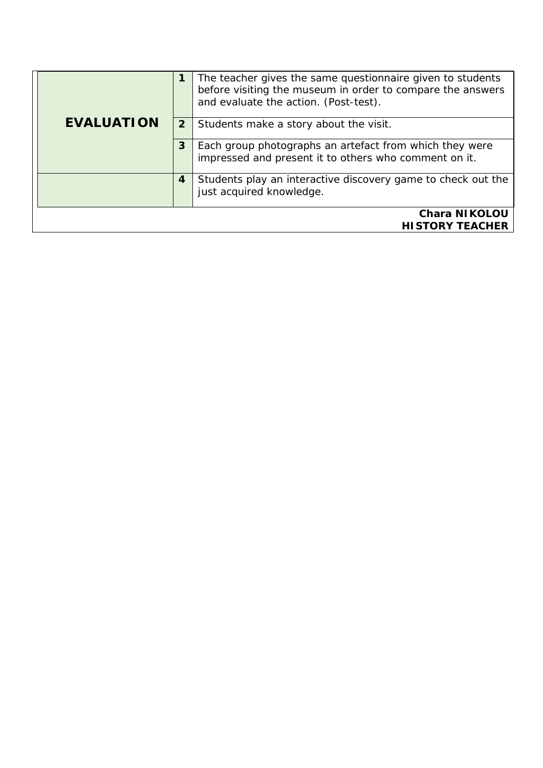|                                                |              | The teacher gives the same questionnaire given to students<br>before visiting the museum in order to compare the answers<br>and evaluate the action. (Post-test). |
|------------------------------------------------|--------------|-------------------------------------------------------------------------------------------------------------------------------------------------------------------|
| <b>EVALUATION</b>                              | $\mathbf{2}$ | Students make a story about the visit.                                                                                                                            |
|                                                | 3            | Each group photographs an artefact from which they were<br>impressed and present it to others who comment on it.                                                  |
|                                                | 4            | Students play an interactive discovery game to check out the<br>just acquired knowledge.                                                                          |
| <b>Chara NIKOLOU</b><br><b>HISTORY TEACHER</b> |              |                                                                                                                                                                   |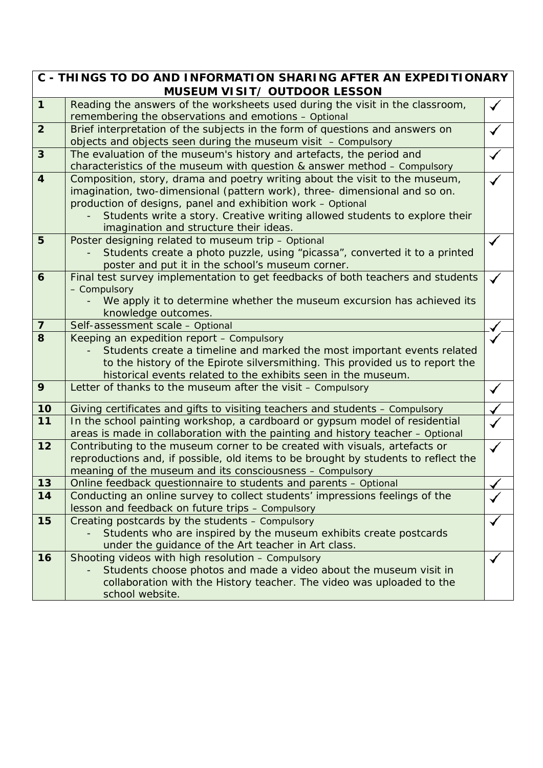| C - THINGS TO DO AND INFORMATION SHARING AFTER AN EXPEDITIONARY |                                                                                                                                       |  |  |  |  |
|-----------------------------------------------------------------|---------------------------------------------------------------------------------------------------------------------------------------|--|--|--|--|
|                                                                 | <b>MUSEUM VISIT/ OUTDOOR LESSON</b>                                                                                                   |  |  |  |  |
| $\mathbf{1}$                                                    | Reading the answers of the worksheets used during the visit in the classroom,<br>remembering the observations and emotions - Optional |  |  |  |  |
| $\overline{2}$                                                  | Brief interpretation of the subjects in the form of questions and answers on                                                          |  |  |  |  |
|                                                                 | objects and objects seen during the museum visit $-$ Compulsory                                                                       |  |  |  |  |
| $\mathbf{3}$                                                    | The evaluation of the museum's history and artefacts, the period and                                                                  |  |  |  |  |
|                                                                 | characteristics of the museum with question & answer method - Compulsory                                                              |  |  |  |  |
| $\overline{4}$                                                  | Composition, story, drama and poetry writing about the visit to the museum,                                                           |  |  |  |  |
|                                                                 | imagination, two-dimensional (pattern work), three- dimensional and so on.                                                            |  |  |  |  |
|                                                                 | production of designs, panel and exhibition work - Optional                                                                           |  |  |  |  |
|                                                                 | Students write a story. Creative writing allowed students to explore their                                                            |  |  |  |  |
|                                                                 | imagination and structure their ideas.                                                                                                |  |  |  |  |
| 5                                                               | Poster designing related to museum trip - Optional                                                                                    |  |  |  |  |
|                                                                 | Students create a photo puzzle, using "picassa", converted it to a printed                                                            |  |  |  |  |
|                                                                 | poster and put it in the school's museum corner.                                                                                      |  |  |  |  |
| 6                                                               | Final test survey implementation to get feedbacks of both teachers and students                                                       |  |  |  |  |
|                                                                 | - Compulsory                                                                                                                          |  |  |  |  |
|                                                                 | We apply it to determine whether the museum excursion has achieved its                                                                |  |  |  |  |
| $\overline{7}$                                                  | knowledge outcomes.                                                                                                                   |  |  |  |  |
| 8                                                               | Self-assessment scale - Optional<br>Keeping an expedition report - Compulsory                                                         |  |  |  |  |
|                                                                 | Students create a timeline and marked the most important events related                                                               |  |  |  |  |
|                                                                 | to the history of the Epirote silversmithing. This provided us to report the                                                          |  |  |  |  |
|                                                                 | historical events related to the exhibits seen in the museum.                                                                         |  |  |  |  |
| 9                                                               | Letter of thanks to the museum after the visit - Compulsory                                                                           |  |  |  |  |
|                                                                 |                                                                                                                                       |  |  |  |  |
| 10                                                              | Giving certificates and gifts to visiting teachers and students - Compulsory                                                          |  |  |  |  |
| 11                                                              | In the school painting workshop, a cardboard or gypsum model of residential                                                           |  |  |  |  |
|                                                                 | areas is made in collaboration with the painting and history teacher - Optional                                                       |  |  |  |  |
| 12                                                              | Contributing to the museum corner to be created with visuals, artefacts or                                                            |  |  |  |  |
|                                                                 | reproductions and, if possible, old items to be brought by students to reflect the                                                    |  |  |  |  |
|                                                                 | meaning of the museum and its consciousness - Compulsory                                                                              |  |  |  |  |
| 13                                                              | Online feedback questionnaire to students and parents - Optional                                                                      |  |  |  |  |
| 14                                                              | Conducting an online survey to collect students' impressions feelings of the<br>lesson and feedback on future trips - Compulsory      |  |  |  |  |
| 15                                                              | Creating postcards by the students - Compulsory                                                                                       |  |  |  |  |
|                                                                 | Students who are inspired by the museum exhibits create postcards                                                                     |  |  |  |  |
|                                                                 | under the guidance of the Art teacher in Art class.                                                                                   |  |  |  |  |
| 16                                                              | Shooting videos with high resolution - Compulsory                                                                                     |  |  |  |  |
|                                                                 | Students choose photos and made a video about the museum visit in                                                                     |  |  |  |  |
|                                                                 | collaboration with the History teacher. The video was uploaded to the                                                                 |  |  |  |  |
|                                                                 | school website.                                                                                                                       |  |  |  |  |